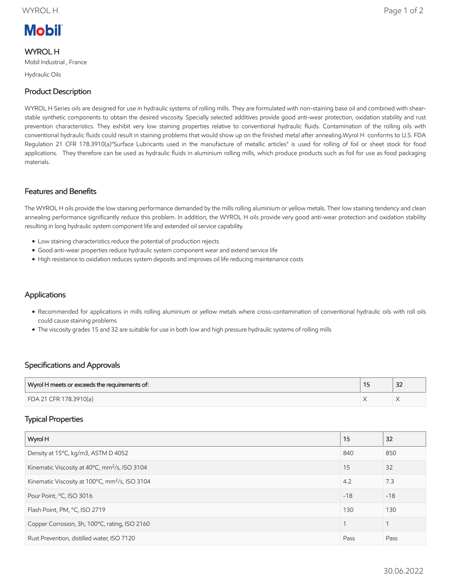# **Mobil**

# WYROL H

Mobil Industrial , France

Hydraulic Oils

# Product Description

WYROL H Series oils are designed for use in hydraulic systems of rolling mills. They are formulated with non-staining base oil and combined with shearstable synthetic components to obtain the desired viscosity. Specially selected additives provide good anti-wear protection, oxidation stability and rust prevention characteristics. They exhibit very low staining properties relative to conventional hydraulic fluids. Contamination of the rolling oils with conventional hydraulic fluids could result in staining problems that would show up on the finished metal after annealing.Wyrol H conforms to U.S. FDA Regulation 21 CFR 178.3910(a)"Surface Lubricants used in the manufacture of metallic articles" is used for rolling of foil or sheet stock for food applications. They therefore can be used as hydraulic fluids in aluminium rolling mills, which produce products such as foil for use as food packaging materials.

#### Features and Benefits

The WYROL H oils provide the low staining performance demanded by the mills rolling aluminium or yellow metals. Their low staining tendency and clean annealing performance significantly reduce this problem. In addition, the WYROL H oils provide very good anti-wear protection and oxidation stability resulting in long hydraulic system component life and extended oil service capability.

- Low staining characteristics reduce the potential of production rejects
- Good anti-wear properties reduce hydraulic system component wear and extend service life
- High resistance to oxidation reduces system deposits and improves oil life reducing maintenance costs

### **Applications**

- Recommended for applications in mills rolling aluminium or yellow metals where cross-contamination of conventional hydraulic oils with roll oils could cause staining problems
- The viscosity grades 15 and 32 are suitable for use in both low and high pressure hydraulic systems of rolling mills

#### Specifications and Approvals

| Wyrol H meets or exceeds the requirements of: | $\sim$<br>ےر |
|-----------------------------------------------|--------------|
| FDA 21 CFR 178.3910(a)                        |              |

#### Typical Properties

| Wyrol H                                                    | 15    | 32    |
|------------------------------------------------------------|-------|-------|
| Density at 15°C, kg/m3, ASTM D 4052                        | 840   | 850   |
| Kinematic Viscosity at 40°C, mm <sup>2</sup> /s, ISO 3104  | 15    | 32    |
| Kinematic Viscosity at 100°C, mm <sup>2</sup> /s, ISO 3104 | 4.2   | 7.3   |
| Pour Point, °C, ISO 3016                                   | $-18$ | $-18$ |
| Flash Point, PM, °C, ISO 2719                              | 130   | 130   |
| Copper Corrosion, 3h, 100°C, rating, ISO 2160              |       |       |
| Rust Prevention, distilled water, ISO 7120                 | Pass  | Pass  |